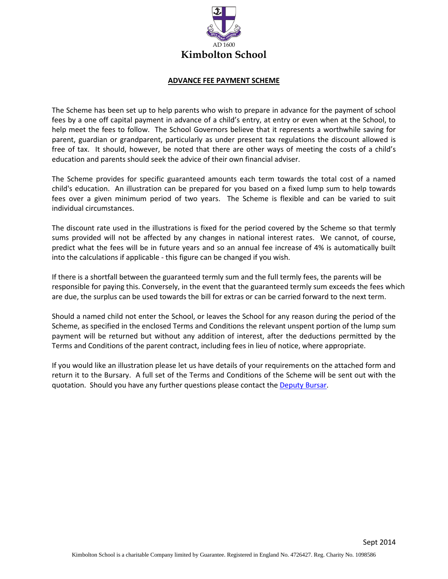

#### **ADVANCE FEE PAYMENT SCHEME**

The Scheme has been set up to help parents who wish to prepare in advance for the payment of school fees by a one off capital payment in advance of a child's entry, at entry or even when at the School, to help meet the fees to follow. The School Governors believe that it represents a worthwhile saving for parent, guardian or grandparent, particularly as under present tax regulations the discount allowed is free of tax. It should, however, be noted that there are other ways of meeting the costs of a child's education and parents should seek the advice of their own financial adviser.

The Scheme provides for specific guaranteed amounts each term towards the total cost of a named child's education. An illustration can be prepared for you based on a fixed lump sum to help towards fees over a given minimum period of two years. The Scheme is flexible and can be varied to suit individual circumstances.

The discount rate used in the illustrations is fixed for the period covered by the Scheme so that termly sums provided will not be affected by any changes in national interest rates. We cannot, of course, predict what the fees will be in future years and so an annual fee increase of 4% is automatically built into the calculations if applicable - this figure can be changed if you wish.

If there is a shortfall between the guaranteed termly sum and the full termly fees, the parents will be responsible for paying this. Conversely, in the event that the guaranteed termly sum exceeds the fees which are due, the surplus can be used towards the bill for extras or can be carried forward to the next term.

Should a named child not enter the School, or leaves the School for any reason during the period of the Scheme, as specified in the enclosed Terms and Conditions the relevant unspent portion of the lump sum payment will be returned but without any addition of interest, after the deductions permitted by the Terms and Conditions of the parent contract, including fees in lieu of notice, where appropriate.

If you would like an illustration please let us have details of your requirements on the attached form and return it to the Bursary. A full set of the Terms and Conditions of the Scheme will be sent out with the quotation. Should you have any further questions please contact th[e Deputy](mailto:so@kimbolton.cambs.sch.uk) Bursar.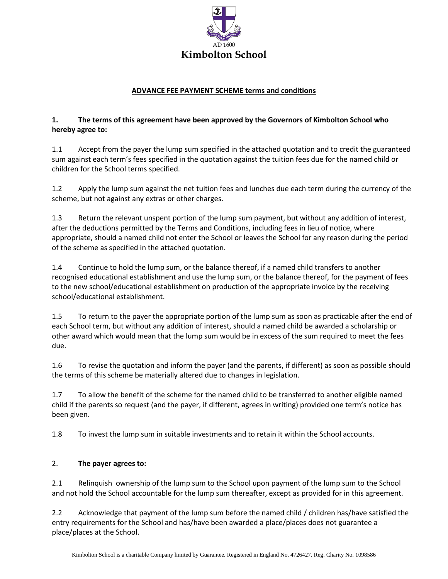

## **ADVANCE FEE PAYMENT SCHEME terms and conditions**

## **1. The terms of this agreement have been approved by the Governors of Kimbolton School who hereby agree to:**

1.1 Accept from the payer the lump sum specified in the attached quotation and to credit the guaranteed sum against each term's fees specified in the quotation against the tuition fees due for the named child or children for the School terms specified.

1.2 Apply the lump sum against the net tuition fees and lunches due each term during the currency of the scheme, but not against any extras or other charges.

1.3 Return the relevant unspent portion of the lump sum payment, but without any addition of interest, after the deductions permitted by the Terms and Conditions, including fees in lieu of notice, where appropriate, should a named child not enter the School or leaves the School for any reason during the period of the scheme as specified in the attached quotation.

1.4 Continue to hold the lump sum, or the balance thereof, if a named child transfers to another recognised educational establishment and use the lump sum, or the balance thereof, for the payment of fees to the new school/educational establishment on production of the appropriate invoice by the receiving school/educational establishment.

1.5 To return to the payer the appropriate portion of the lump sum as soon as practicable after the end of each School term, but without any addition of interest, should a named child be awarded a scholarship or other award which would mean that the lump sum would be in excess of the sum required to meet the fees due.

1.6 To revise the quotation and inform the payer (and the parents, if different) as soon as possible should the terms of this scheme be materially altered due to changes in legislation.

1.7 To allow the benefit of the scheme for the named child to be transferred to another eligible named child if the parents so request (and the payer, if different, agrees in writing) provided one term's notice has been given.

1.8 To invest the lump sum in suitable investments and to retain it within the School accounts.

# 2. **The payer agrees to:**

2.1 Relinquish ownership of the lump sum to the School upon payment of the lump sum to the School and not hold the School accountable for the lump sum thereafter, except as provided for in this agreement.

2.2 Acknowledge that payment of the lump sum before the named child / children has/have satisfied the entry requirements for the School and has/have been awarded a place/places does not guarantee a place/places at the School.